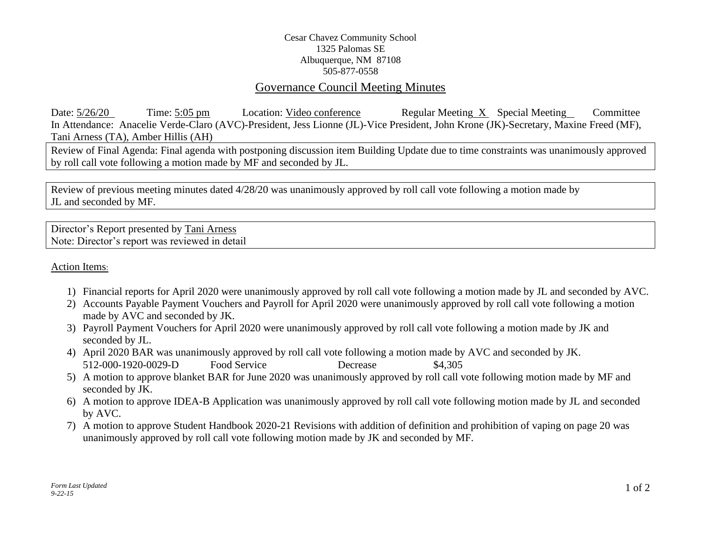## Cesar Chavez Community School 1325 Palomas SE Albuquerque, NM 87108 505-877-0558

## Governance Council Meeting Minutes

Date: 5/26/20 Time: 5:05 pm Location: Video conference Regular Meeting X Special Meeting Committee In Attendance: Anacelie Verde-Claro (AVC)-President, Jess Lionne (JL)-Vice President, John Krone (JK)-Secretary, Maxine Freed (MF), Tani Arness (TA), Amber Hillis (AH)

Review of Final Agenda: Final agenda with postponing discussion item Building Update due to time constraints was unanimously approved by roll call vote following a motion made by MF and seconded by JL.

Review of previous meeting minutes dated 4/28/20 was unanimously approved by roll call vote following a motion made by JL and seconded by MF.

Director's Report presented by Tani Arness Note: Director's report was reviewed in detail

Action Items:

- 1) Financial reports for April 2020 were unanimously approved by roll call vote following a motion made by JL and seconded by AVC.
- 2) Accounts Payable Payment Vouchers and Payroll for April 2020 were unanimously approved by roll call vote following a motion made by AVC and seconded by JK.
- 3) Payroll Payment Vouchers for April 2020 were unanimously approved by roll call vote following a motion made by JK and seconded by JL.
- 4) April 2020 BAR was unanimously approved by roll call vote following a motion made by AVC and seconded by JK. 512-000-1920-0029-D Food Service Decrease \$4,305
- 5) A motion to approve blanket BAR for June 2020 was unanimously approved by roll call vote following motion made by MF and seconded by JK.
- 6) A motion to approve IDEA-B Application was unanimously approved by roll call vote following motion made by JL and seconded by AVC.
- 7) A motion to approve Student Handbook 2020-21 Revisions with addition of definition and prohibition of vaping on page 20 was unanimously approved by roll call vote following motion made by JK and seconded by MF.